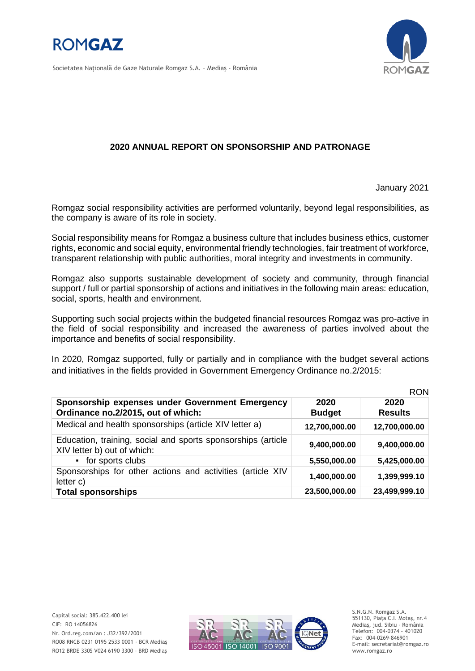



Societatea Naţională de Gaze Naturale Romgaz S.A. – Mediaş - România

## **2020 ANNUAL REPORT ON SPONSORSHIP AND PATRONAGE**

January 2021

Romgaz social responsibility activities are performed voluntarily, beyond legal responsibilities, as the company is aware of its role in society.

Social responsibility means for Romgaz a business culture that includes business ethics, customer rights, economic and social equity, environmental friendly technologies, fair treatment of workforce, transparent relationship with public authorities, moral integrity and investments in community.

Romgaz also supports sustainable development of society and community, through financial support / full or partial sponsorship of actions and initiatives in the following main areas: education, social, sports, health and environment.

Supporting such social projects within the budgeted financial resources Romgaz was pro-active in the field of social responsibility and increased the awareness of parties involved about the importance and benefits of social responsibility.

In 2020, Romgaz supported, fully or partially and in compliance with the budget several actions and initiatives in the fields provided in Government Emergency Ordinance no.2/2015:

|                                                                                             |                       | <b>RON</b>             |
|---------------------------------------------------------------------------------------------|-----------------------|------------------------|
| Sponsorship expenses under Government Emergency<br>Ordinance no.2/2015, out of which:       | 2020<br><b>Budget</b> | 2020<br><b>Results</b> |
| Medical and health sponsorships (article XIV letter a)                                      | 12,700,000.00         | 12,700,000.00          |
| Education, training, social and sports sponsorships (article<br>XIV letter b) out of which: | 9,400,000.00          | 9,400,000.00           |
| • for sports clubs                                                                          | 5,550,000.00          | 5,425,000.00           |
| Sponsorships for other actions and activities (article XIV<br>letter c)                     | 1,400,000.00          | 1,399,999.10           |
| <b>Total sponsorships</b>                                                                   | 23,500,000.00         | 23,499,999.10          |



S.N.G.N. Romgaz S.A. 551130, Piața C.I. Motaş, nr.4 Mediaş, jud. Sibiu - România Telefon: 004-0374 - 401020 Fax: 004-0269-846901 E-mail: secretariat@romgaz.ro www.romgaz.ro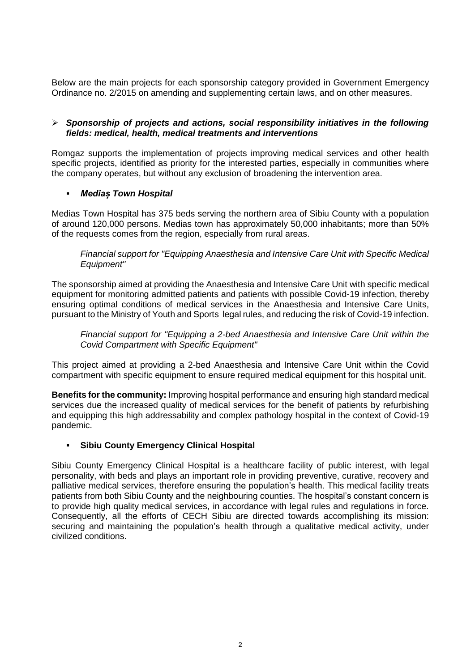Below are the main projects for each sponsorship category provided in Government Emergency Ordinance no. 2/2015 on amending and supplementing certain laws, and on other measures.

### *Sponsorship of projects and actions, social responsibility initiatives in the following fields: medical, health, medical treatments and interventions*

Romgaz supports the implementation of projects improving medical services and other health specific projects, identified as priority for the interested parties, especially in communities where the company operates, but without any exclusion of broadening the intervention area.

## *Mediaș Town Hospital*

Medias Town Hospital has 375 beds serving the northern area of Sibiu County with a population of around 120,000 persons. Medias town has approximately 50,000 inhabitants; more than 50% of the requests comes from the region, especially from rural areas.

*Financial support for "Equipping Anaesthesia and Intensive Care Unit with Specific Medical Equipment"*

The sponsorship aimed at providing the Anaesthesia and Intensive Care Unit with specific medical equipment for monitoring admitted patients and patients with possible Covid-19 infection, thereby ensuring optimal conditions of medical services in the Anaesthesia and Intensive Care Units, pursuant to the Ministry of Youth and Sports legal rules, and reducing the risk of Covid-19 infection.

*Financial support for "Equipping a 2-bed Anaesthesia and Intensive Care Unit within the Covid Compartment with Specific Equipment"*

This project aimed at providing a 2-bed Anaesthesia and Intensive Care Unit within the Covid compartment with specific equipment to ensure required medical equipment for this hospital unit.

**Benefits for the community:** Improving hospital performance and ensuring high standard medical services due the increased quality of medical services for the benefit of patients by refurbishing and equipping this high addressability and complex pathology hospital in the context of Covid-19 pandemic.

### **Sibiu County Emergency Clinical Hospital**

Sibiu County Emergency Clinical Hospital is a healthcare facility of public interest, with legal personality, with beds and plays an important role in providing preventive, curative, recovery and palliative medical services, therefore ensuring the population's health. This medical facility treats patients from both Sibiu County and the neighbouring counties. The hospital's constant concern is to provide high quality medical services, in accordance with legal rules and regulations in force. Consequently, all the efforts of CECH Sibiu are directed towards accomplishing its mission: securing and maintaining the population's health through a qualitative medical activity, under civilized conditions.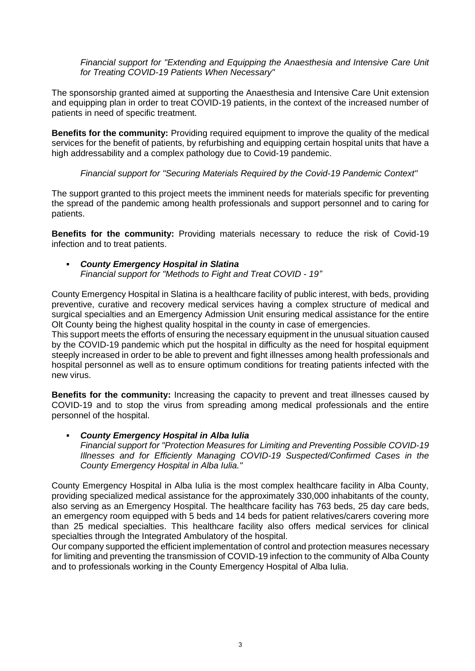*Financial support for "Extending and Equipping the Anaesthesia and Intensive Care Unit for Treating COVID-19 Patients When Necessary"*

The sponsorship granted aimed at supporting the Anaesthesia and Intensive Care Unit extension and equipping plan in order to treat COVID-19 patients, in the context of the increased number of patients in need of specific treatment.

**Benefits for the community:** Providing required equipment to improve the quality of the medical services for the benefit of patients, by refurbishing and equipping certain hospital units that have a high addressability and a complex pathology due to Covid-19 pandemic.

*Financial support for "Securing Materials Required by the Covid-19 Pandemic Context"*

The support granted to this project meets the imminent needs for materials specific for preventing the spread of the pandemic among health professionals and support personnel and to caring for patients.

**Benefits for the community:** Providing materials necessary to reduce the risk of Covid-19 infection and to treat patients.

 *County Emergency Hospital in Slatina Financial support for "Methods to Fight and Treat COVID - 19"*

County Emergency Hospital in Slatina is a healthcare facility of public interest, with beds, providing preventive, curative and recovery medical services having a complex structure of medical and surgical specialties and an Emergency Admission Unit ensuring medical assistance for the entire Olt County being the highest quality hospital in the county in case of emergencies.

This support meets the efforts of ensuring the necessary equipment in the unusual situation caused by the COVID-19 pandemic which put the hospital in difficulty as the need for hospital equipment steeply increased in order to be able to prevent and fight illnesses among health professionals and hospital personnel as well as to ensure optimum conditions for treating patients infected with the new virus.

**Benefits for the community:** Increasing the capacity to prevent and treat illnesses caused by COVID-19 and to stop the virus from spreading among medical professionals and the entire personnel of the hospital.

 *County Emergency Hospital in Alba Iulia Financial support for "Protection Measures for Limiting and Preventing Possible COVID-19 Illnesses and for Efficiently Managing COVID-19 Suspected/Confirmed Cases in the County Emergency Hospital in Alba Iulia."*

County Emergency Hospital in Alba Iulia is the most complex healthcare facility in Alba County, providing specialized medical assistance for the approximately 330,000 inhabitants of the county, also serving as an Emergency Hospital. The healthcare facility has 763 beds, 25 day care beds, an emergency room equipped with 5 beds and 14 beds for patient relatives/carers covering more than 25 medical specialties. This healthcare facility also offers medical services for clinical specialties through the Integrated Ambulatory of the hospital.

Our company supported the efficient implementation of control and protection measures necessary for limiting and preventing the transmission of COVID-19 infection to the community of Alba County and to professionals working in the County Emergency Hospital of Alba Iulia.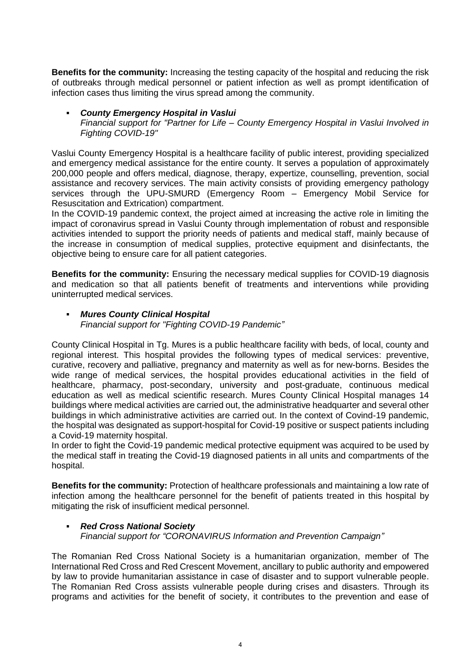**Benefits for the community:** Increasing the testing capacity of the hospital and reducing the risk of outbreaks through medical personnel or patient infection as well as prompt identification of infection cases thus limiting the virus spread among the community.

### *County Emergency Hospital in Vaslui*

*Financial support for "Partner for Life – County Emergency Hospital in Vaslui Involved in Fighting COVID-19"*

Vaslui County Emergency Hospital is a healthcare facility of public interest, providing specialized and emergency medical assistance for the entire county. It serves a population of approximately 200,000 people and offers medical, diagnose, therapy, expertize, counselling, prevention, social assistance and recovery services. The main activity consists of providing emergency pathology services through the UPU-SMURD (Emergency Room – Emergency Mobil Service for Resuscitation and Extrication) compartment.

In the COVID-19 pandemic context, the project aimed at increasing the active role in limiting the impact of coronavirus spread in Vaslui County through implementation of robust and responsible activities intended to support the priority needs of patients and medical staff, mainly because of the increase in consumption of medical supplies, protective equipment and disinfectants, the objective being to ensure care for all patient categories.

**Benefits for the community:** Ensuring the necessary medical supplies for COVID-19 diagnosis and medication so that all patients benefit of treatments and interventions while providing uninterrupted medical services.

## *Mures County Clinical Hospital*

*Financial support for "Fighting COVID-19 Pandemic"*

County Clinical Hospital in Tg. Mures is a public healthcare facility with beds, of local, county and regional interest. This hospital provides the following types of medical services: preventive, curative, recovery and palliative, pregnancy and maternity as well as for new-borns. Besides the wide range of medical services, the hospital provides educational activities in the field of healthcare, pharmacy, post-secondary, university and post-graduate, continuous medical education as well as medical scientific research. Mures County Clinical Hospital manages 14 buildings where medical activities are carried out, the administrative headquarter and several other buildings in which administrative activities are carried out. In the context of Covind-19 pandemic, the hospital was designated as support-hospital for Covid-19 positive or suspect patients including a Covid-19 maternity hospital.

In order to fight the Covid-19 pandemic medical protective equipment was acquired to be used by the medical staff in treating the Covid-19 diagnosed patients in all units and compartments of the hospital.

**Benefits for the community:** Protection of healthcare professionals and maintaining a low rate of infection among the healthcare personnel for the benefit of patients treated in this hospital by mitigating the risk of insufficient medical personnel.

### *Red Cross National Society Financial support for "CORONAVIRUS Information and Prevention Campaign"*

The Romanian Red Cross National Society is a humanitarian organization, member of The International Red Cross and Red Crescent Movement, ancillary to public authority and empowered by law to provide humanitarian assistance in case of disaster and to support vulnerable people. The Romanian Red Cross assists vulnerable people during crises and disasters. Through its programs and activities for the benefit of society, it contributes to the prevention and ease of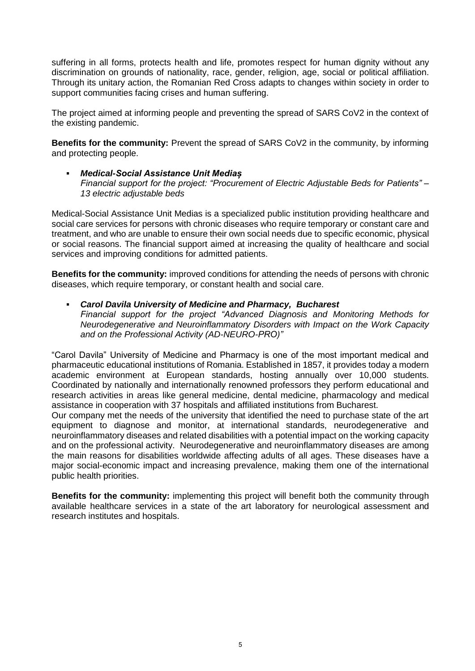suffering in all forms, protects health and life, promotes respect for human dignity without any discrimination on grounds of nationality, race, gender, religion, age, social or political affiliation. Through its unitary action, the Romanian Red Cross adapts to changes within society in order to support communities facing crises and human suffering.

The project aimed at informing people and preventing the spread of SARS CoV2 in the context of the existing pandemic.

**Benefits for the community:** Prevent the spread of SARS CoV2 in the community, by informing and protecting people.

 *Medical-Social Assistance Unit Mediaș Financial support for the project: "Procurement of Electric Adjustable Beds for Patients" – 13 electric adjustable beds*

Medical-Social Assistance Unit Medias is a specialized public institution providing healthcare and social care services for persons with chronic diseases who require temporary or constant care and treatment, and who are unable to ensure their own social needs due to specific economic, physical or social reasons. The financial support aimed at increasing the quality of healthcare and social services and improving conditions for admitted patients.

**Benefits for the community:** improved conditions for attending the needs of persons with chronic diseases, which require temporary, or constant health and social care.

 *Carol Davila University of Medicine and Pharmacy, Bucharest Financial support for the project "Advanced Diagnosis and Monitoring Methods for Neurodegenerative and Neuroinflammatory Disorders with Impact on the Work Capacity and on the Professional Activity (AD-NEURO-PRO)"*

"Carol Davila" University of Medicine and Pharmacy is one of the most important medical and pharmaceutic educational institutions of Romania. Established in 1857, it provides today a modern academic environment at European standards, hosting annually over 10,000 students. Coordinated by nationally and internationally renowned professors they perform educational and research activities in areas like general medicine, dental medicine, pharmacology and medical assistance in cooperation with 37 hospitals and affiliated institutions from Bucharest.

Our company met the needs of the university that identified the need to purchase state of the art equipment to diagnose and monitor, at international standards, neurodegenerative and neuroinflammatory diseases and related disabilities with a potential impact on the working capacity and on the professional activity. Neurodegenerative and neuroinflammatory diseases are among the main reasons for disabilities worldwide affecting adults of all ages. These diseases have a major social-economic impact and increasing prevalence, making them one of the international public health priorities.

**Benefits for the community:** implementing this project will benefit both the community through available healthcare services in a state of the art laboratory for neurological assessment and research institutes and hospitals.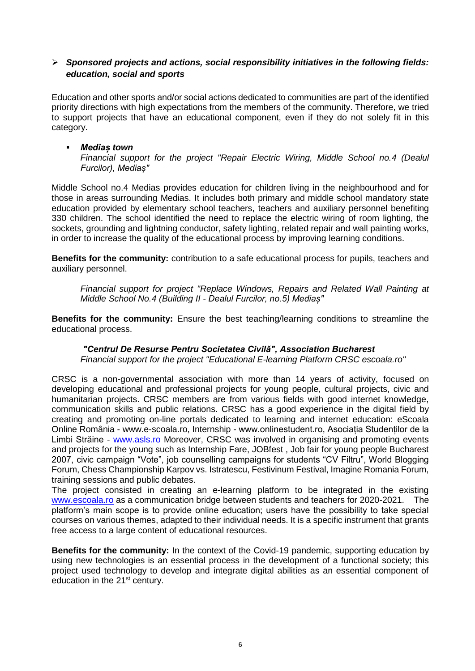## *Sponsored projects and actions, social responsibility initiatives in the following fields: education, social and sports*

Education and other sports and/or social actions dedicated to communities are part of the identified priority directions with high expectations from the members of the community. Therefore, we tried to support projects that have an educational component, even if they do not solely fit in this category.

#### *Mediaș town Financial support for the project "Repair Electric Wiring, Middle School no.4 (Dealul Furcilor), Mediaș"*

Middle School no.4 Medias provides education for children living in the neighbourhood and for those in areas surrounding Medias. It includes both primary and middle school mandatory state education provided by elementary school teachers, teachers and auxiliary personnel benefiting 330 children. The school identified the need to replace the electric wiring of room lighting, the sockets, grounding and lightning conductor, safety lighting, related repair and wall painting works, in order to increase the quality of the educational process by improving learning conditions.

**Benefits for the community:** contribution to a safe educational process for pupils, teachers and auxiliary personnel.

*Financial support for project "Replace Windows, Repairs and Related Wall Painting at Middle School No.4 (Building II - Dealul Furcilor, no.5) Mediaș"*

**Benefits for the community:** Ensure the best teaching/learning conditions to streamline the educational process.

# *"Centrul De Resurse Pentru Societatea Civilă", Association Bucharest*

*Financial support for the project "Educational E-learning Platform CRSC escoala.ro"*

CRSC is a non-governmental association with more than 14 years of activity, focused on developing educational and professional projects for young people, cultural projects, civic and humanitarian projects. CRSC members are from various fields with good internet knowledge, communication skills and public relations. CRSC has a good experience in the digital field by creating and promoting on-line portals dedicated to learning and internet education: eScoala Online România - www.e-scoala.ro, Internship - www.onlinestudent.ro, Asociația Studenților de la Limbi Străine - [www.asls.ro](http://www.asls.ro/) Moreover, CRSC was involved in organising and promoting events and projects for the young such as Internship Fare, JOBfest , Job fair for young people Bucharest 2007, civic campaign "Vote", job counselling campaigns for students "CV Filtru", World Blogging Forum, Chess Championship Karpov vs. Istratescu, Festivinum Festival, Imagine Romania Forum, training sessions and public debates.

The project consisted in creating an e-learning platform to be integrated in the existing [www.escoala.ro](http://www.escoala.ro/) as a communication bridge between students and teachers for 2020-2021. The platform's main scope is to provide online education; users have the possibility to take special courses on various themes, adapted to their individual needs. It is a specific instrument that grants free access to a large content of educational resources.

**Benefits for the community:** In the context of the Covid-19 pandemic, supporting education by using new technologies is an essential process in the development of a functional society; this project used technology to develop and integrate digital abilities as an essential component of education in the 21<sup>st</sup> century.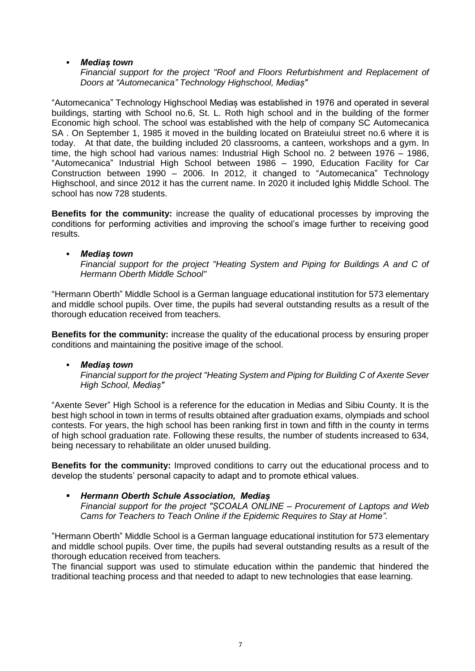## *Mediaș town*

*Financial support for the project "Roof and Floors Refurbishment and Replacement of Doors at "Automecanica" Technology Highschool, Mediaș"*

"Automecanica" Technology Highschool Mediaș was established in 1976 and operated in several buildings, starting with School no.6, St. L. Roth high school and in the building of the former Economic high school. The school was established with the help of company SC Automecanica SA . On September 1, 1985 it moved in the building located on Brateiului street no.6 where it is today. At that date, the building included 20 classrooms, a canteen, workshops and a gym. In time, the high school had various names: Industrial High School no. 2 between 1976 – 1986, "Automecanica" Industrial High School between 1986 – 1990, Education Facility for Car Construction between 1990 – 2006. In 2012, it changed to "Automecanica" Technology Highschool, and since 2012 it has the current name. In 2020 it included Ighiș Middle School. The school has now 728 students.

**Benefits for the community:** increase the quality of educational processes by improving the conditions for performing activities and improving the school's image further to receiving good results.

### *Mediaș town*

*Financial support for the project "Heating System and Piping for Buildings A and C of Hermann Oberth Middle School"*

"Hermann Oberth" Middle School is a German language educational institution for 573 elementary and middle school pupils. Over time, the pupils had several outstanding results as a result of the thorough education received from teachers.

**Benefits for the community:** increase the quality of the educational process by ensuring proper conditions and maintaining the positive image of the school.

### *Mediaș town*

*Financial support for the project "Heating System and Piping for Building C of Axente Sever High School, Mediaș"*

"Axente Sever" High School is a reference for the education in Medias and Sibiu County. It is the best high school in town in terms of results obtained after graduation exams, olympiads and school contests. For years, the high school has been ranking first in town and fifth in the county in terms of high school graduation rate. Following these results, the number of students increased to 634, being necessary to rehabilitate an older unused building.

**Benefits for the community:** Improved conditions to carry out the educational process and to develop the students' personal capacity to adapt and to promote ethical values.

# *Hermann Oberth Schule Association, Mediaș*

*Financial support for the project "ȘCOALA ONLINE – Procurement of Laptops and Web Cams for Teachers to Teach Online if the Epidemic Requires to Stay at Home".*

"Hermann Oberth" Middle School is a German language educational institution for 573 elementary and middle school pupils. Over time, the pupils had several outstanding results as a result of the thorough education received from teachers.

The financial support was used to stimulate education within the pandemic that hindered the traditional teaching process and that needed to adapt to new technologies that ease learning.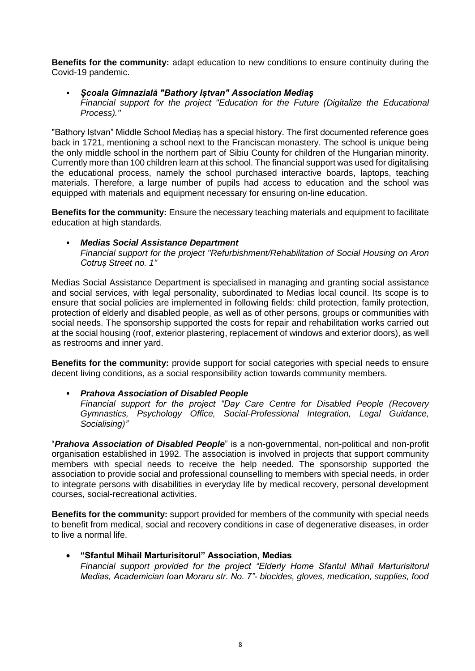**Benefits for the community:** adapt education to new conditions to ensure continuity during the Covid-19 pandemic.

#### *Școala Gimnazială "Bathory Iștvan" Association Mediaș Financial support for the project "Education for the Future (Digitalize the Educational Process)."*

"Bathory Iștvan" Middle School Mediaș has a special history. The first documented reference goes back in 1721, mentioning a school next to the Franciscan monastery. The school is unique being the only middle school in the northern part of Sibiu County for children of the Hungarian minority. Currently more than 100 children learn at this school. The financial support was used for digitalising the educational process, namely the school purchased interactive boards, laptops, teaching materials. Therefore, a large number of pupils had access to education and the school was equipped with materials and equipment necessary for ensuring on-line education.

**Benefits for the community:** Ensure the necessary teaching materials and equipment to facilitate education at high standards.

## *Medias Social Assistance Department*

*Financial support for the project "Refurbishment/Rehabilitation of Social Housing on Aron Cotruș Street no. 1"* 

Medias Social Assistance Department is specialised in managing and granting social assistance and social services, with legal personality, subordinated to Medias local council. Its scope is to ensure that social policies are implemented in following fields: child protection, family protection, protection of elderly and disabled people, as well as of other persons, groups or communities with social needs. The sponsorship supported the costs for repair and rehabilitation works carried out at the social housing (roof, exterior plastering, replacement of windows and exterior doors), as well as restrooms and inner yard.

**Benefits for the community:** provide support for social categories with special needs to ensure decent living conditions, as a social responsibility action towards community members.

### *Prahova Association of Disabled People*

*Financial support for the project "Day Care Centre for Disabled People (Recovery Gymnastics, Psychology Office, Social-Professional Integration, Legal Guidance, Socialising)"*

"*Prahova Association of Disabled People*" is a non-governmental, non-political and non-profit organisation established in 1992. The association is involved in projects that support community members with special needs to receive the help needed. The sponsorship supported the association to provide social and professional counselling to members with special needs, in order to integrate persons with disabilities in everyday life by medical recovery, personal development courses, social-recreational activities.

**Benefits for the community:** support provided for members of the community with special needs to benefit from medical, social and recovery conditions in case of degenerative diseases, in order to live a normal life.

### **"Sfantul Mihail Marturisitorul" Association, Medias**

*Financial support provided for the project "Elderly Home Sfantul Mihail Marturisitorul Medias, Academician Ioan Moraru str. No. 7"- biocides, gloves, medication, supplies, food*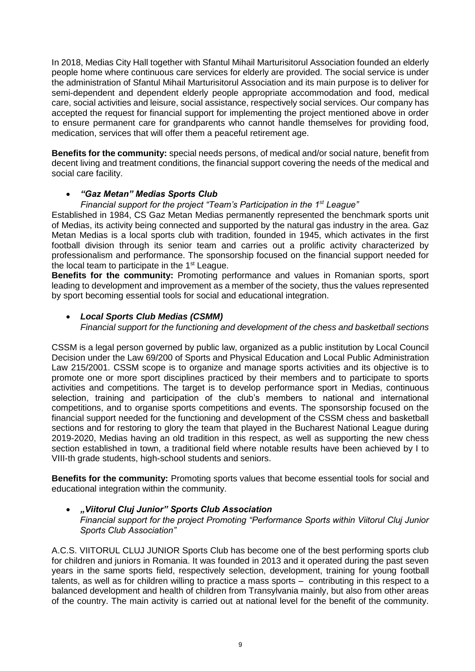In 2018, Medias City Hall together with Sfantul Mihail Marturisitorul Association founded an elderly people home where continuous care services for elderly are provided. The social service is under the administration of Sfantul Mihail Marturisitorul Association and its main purpose is to deliver for semi-dependent and dependent elderly people appropriate accommodation and food, medical care, social activities and leisure, social assistance, respectively social services. Our company has accepted the request for financial support for implementing the project mentioned above in order to ensure permanent care for grandparents who cannot handle themselves for providing food, medication, services that will offer them a peaceful retirement age.

**Benefits for the community:** special needs persons, of medical and/or social nature, benefit from decent living and treatment conditions, the financial support covering the needs of the medical and social care facility.

# *"Gaz Metan" Medias Sports Club*

## *Financial support for the project "Team's Participation in the 1st League"*

Established in 1984, CS Gaz Metan Medias permanently represented the benchmark sports unit of Medias, its activity being connected and supported by the natural gas industry in the area. Gaz Metan Medias is a local sports club with tradition, founded in 1945, which activates in the first football division through its senior team and carries out a prolific activity characterized by professionalism and performance. The sponsorship focused on the financial support needed for the local team to participate in the 1<sup>st</sup> League.

**Benefits for the community:** Promoting performance and values in Romanian sports, sport leading to development and improvement as a member of the society, thus the values represented by sport becoming essential tools for social and educational integration.

# *Local Sports Club Medias (CSMM)*

*Financial support for the functioning and development of the chess and basketball sections* 

CSSM is a legal person governed by public law, organized as a public institution by Local Council Decision under the Law 69/200 of Sports and Physical Education and Local Public Administration Law 215/2001. CSSM scope is to organize and manage sports activities and its objective is to promote one or more sport disciplines practiced by their members and to participate to sports activities and competitions. The target is to develop performance sport in Medias, continuous selection, training and participation of the club's members to national and international competitions, and to organise sports competitions and events. The sponsorship focused on the financial support needed for the functioning and development of the CSSM chess and basketball sections and for restoring to glory the team that played in the Bucharest National League during 2019-2020, Medias having an old tradition in this respect, as well as supporting the new chess section established in town, a traditional field where notable results have been achieved by I to VIII-th grade students, high-school students and seniors.

**Benefits for the community:** Promoting sports values that become essential tools for social and educational integration within the community.

#### *"Viitorul Cluj Junior" Sports Club Association Financial support for the project Promoting "Performance Sports within Viitorul Cluj Junior Sports Club Association"*

A.C.S. VIITORUL CLUJ JUNIOR Sports Club has become one of the best performing sports club for children and juniors in Romania. It was founded in 2013 and it operated during the past seven years in the same sports field, respectively selection, development, training for young football talents, as well as for children willing to practice a mass sports – contributing in this respect to a balanced development and health of children from Transylvania mainly, but also from other areas of the country. The main activity is carried out at national level for the benefit of the community.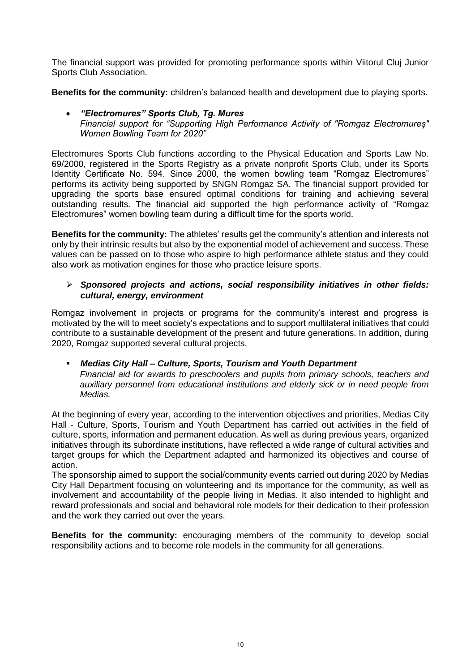The financial support was provided for promoting performance sports within Viitorul Cluj Junior Sports Club Association.

**Benefits for the community:** children's balanced health and development due to playing sports.

 *"Electromures" Sports Club, Tg. Mures Financial support for "Supporting High Performance Activity of "Romgaz Electromureș" Women Bowling Team for 2020"*

Electromures Sports Club functions according to the Physical Education and Sports Law No. 69/2000, registered in the Sports Registry as a private nonprofit Sports Club, under its Sports Identity Certificate No. 594. Since 2000, the women bowling team "Romgaz Electromures" performs its activity being supported by SNGN Romgaz SA. The financial support provided for upgrading the sports base ensured optimal conditions for training and achieving several outstanding results. The financial aid supported the high performance activity of "Romgaz Electromures" women bowling team during a difficult time for the sports world.

**Benefits for the community:** The athletes' results get the community's attention and interests not only by their intrinsic results but also by the exponential model of achievement and success. These values can be passed on to those who aspire to high performance athlete status and they could also work as motivation engines for those who practice leisure sports.

## *Sponsored projects and actions, social responsibility initiatives in other fields: cultural, energy, environment*

Romgaz involvement in projects or programs for the community's interest and progress is motivated by the will to meet society's expectations and to support multilateral initiatives that could contribute to a sustainable development of the present and future generations. In addition, during 2020, Romgaz supported several cultural projects.

# *Medias City Hall – Culture, Sports, Tourism and Youth Department*

*Financial aid for awards to preschoolers and pupils from primary schools, teachers and auxiliary personnel from educational institutions and elderly sick or in need people from Medias.*

At the beginning of every year, according to the intervention objectives and priorities, Medias City Hall - Culture, Sports, Tourism and Youth Department has carried out activities in the field of culture, sports, information and permanent education. As well as during previous years, organized initiatives through its subordinate institutions, have reflected a wide range of cultural activities and target groups for which the Department adapted and harmonized its objectives and course of action.

The sponsorship aimed to support the social/community events carried out during 2020 by Medias City Hall Department focusing on volunteering and its importance for the community, as well as involvement and accountability of the people living in Medias. It also intended to highlight and reward professionals and social and behavioral role models for their dedication to their profession and the work they carried out over the years.

**Benefits for the community:** encouraging members of the community to develop social responsibility actions and to become role models in the community for all generations.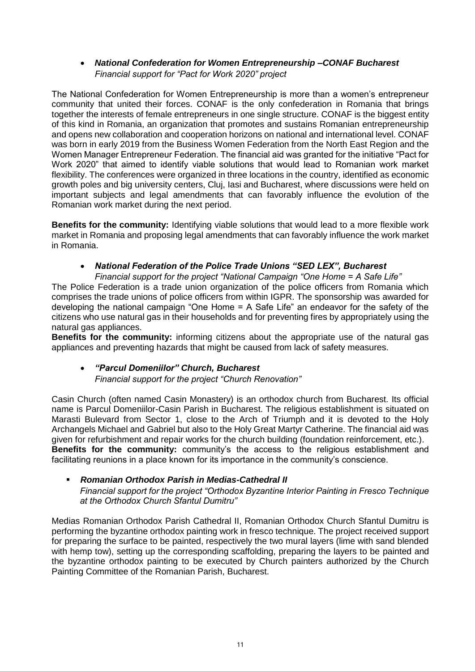## *National Confederation for Women Entrepreneurship –CONAF Bucharest Financial support for "Pact for Work 2020" project*

The National Confederation for Women Entrepreneurship is more than a women's entrepreneur community that united their forces. CONAF is the only confederation in Romania that brings together the interests of female entrepreneurs in one single structure. CONAF is the biggest entity of this kind in Romania, an organization that promotes and sustains Romanian entrepreneurship and opens new collaboration and cooperation horizons on national and international level. CONAF was born in early 2019 from the Business Women Federation from the North East Region and the Women Manager Entrepreneur Federation. The financial aid was granted for the initiative "Pact for Work 2020" that aimed to identify viable solutions that would lead to Romanian work market flexibility. The conferences were organized in three locations in the country, identified as economic growth poles and big university centers, Cluj, Iasi and Bucharest, where discussions were held on important subjects and legal amendments that can favorably influence the evolution of the Romanian work market during the next period.

**Benefits for the community:** Identifying viable solutions that would lead to a more flexible work market in Romania and proposing legal amendments that can favorably influence the work market in Romania.

# *National Federation of the Police Trade Unions "SED LEX", Bucharest*

*Financial support for the project "National Campaign "One Home = A Safe Life"* The Police Federation is a trade union organization of the police officers from Romania which comprises the trade unions of police officers from within IGPR. The sponsorship was awarded for developing the national campaign "One Home = A Safe Life" an endeavor for the safety of the citizens who use natural gas in their households and for preventing fires by appropriately using the natural gas appliances.

**Benefits for the community:** informing citizens about the appropriate use of the natural gas appliances and preventing hazards that might be caused from lack of safety measures.

# *"Parcul Domeniilor" Church, Bucharest Financial support for the project "Church Renovation"*

Casin Church (often named Casin Monastery) is an orthodox church from Bucharest. Its official name is Parcul Domeniilor-Casin Parish in Bucharest. The religious establishment is situated on Marasti Bulevard from Sector 1, close to the Arch of Triumph and it is devoted to the Holy Archangels Michael and Gabriel but also to the Holy Great Martyr Catherine. The financial aid was given for refurbishment and repair works for the church building (foundation reinforcement, etc.). **Benefits for the community:** community's the access to the religious establishment and facilitating reunions in a place known for its importance in the community's conscience.

# *Romanian Orthodox Parish in Medias-Cathedral II*

*Financial support for the project "Orthodox Byzantine Interior Painting in Fresco Technique at the Orthodox Church Sfantul Dumitru"*

Medias Romanian Orthodox Parish Cathedral II, Romanian Orthodox Church Sfantul Dumitru is performing the byzantine orthodox painting work in fresco technique. The project received support for preparing the surface to be painted, respectively the two mural layers (lime with sand blended with hemp tow), setting up the corresponding scaffolding, preparing the layers to be painted and the byzantine orthodox painting to be executed by Church painters authorized by the Church Painting Committee of the Romanian Parish, Bucharest.